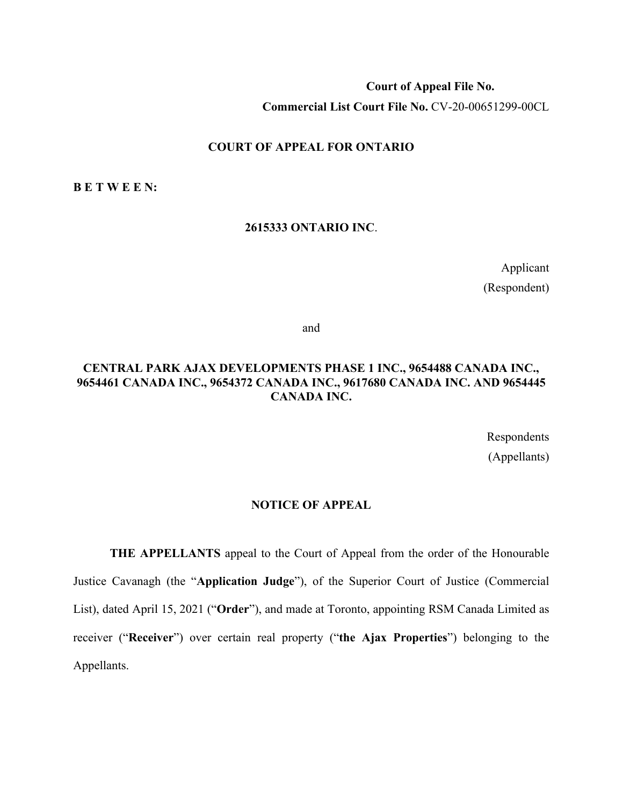**Court of Appeal File No. Commercial List Court File No.** CV-20-00651299-00CL

#### **COURT OF APPEAL FOR ONTARIO**

**B E T W E E N:**

#### **2615333 ONTARIO INC**.

Applicant (Respondent)

and

### **CENTRAL PARK AJAX DEVELOPMENTS PHASE 1 INC., 9654488 CANADA INC., 9654461 CANADA INC., 9654372 CANADA INC., 9617680 CANADA INC. AND 9654445 CANADA INC.**

Respondents (Appellants)

#### **NOTICE OF APPEAL**

**THE APPELLANTS** appeal to the Court of Appeal from the order of the Honourable Justice Cavanagh (the "**Application Judge**"), of the Superior Court of Justice (Commercial List), dated April 15, 2021 ("**Order**"), and made at Toronto, appointing RSM Canada Limited as receiver ("**Receiver**") over certain real property ("**the Ajax Properties**") belonging to the Appellants.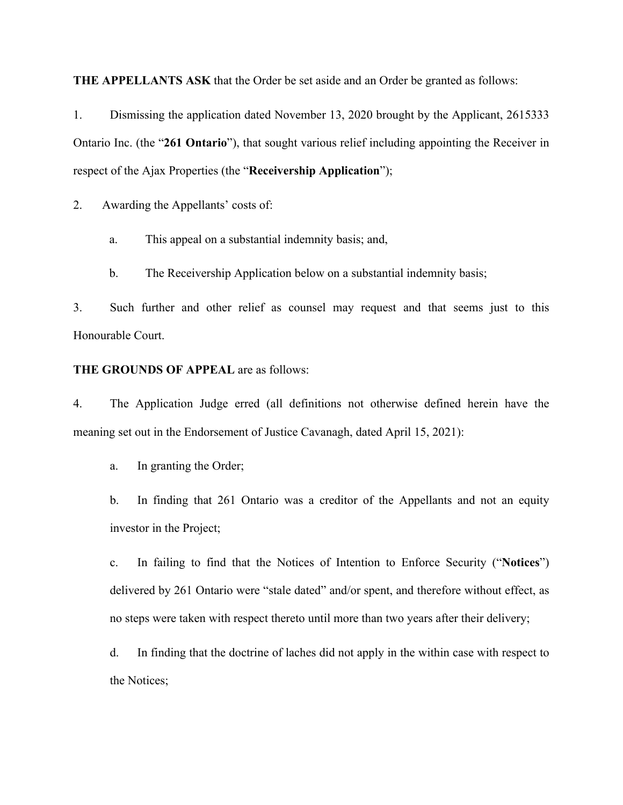**THE APPELLANTS ASK** that the Order be set aside and an Order be granted as follows:

1. Dismissing the application dated November 13, 2020 brought by the Applicant, 2615333 Ontario Inc. (the "**261 Ontario**"), that sought various relief including appointing the Receiver in respect of the Ajax Properties (the "**Receivership Application**");

2. Awarding the Appellants' costs of:

- a. This appeal on a substantial indemnity basis; and,
- b. The Receivership Application below on a substantial indemnity basis;

3. Such further and other relief as counsel may request and that seems just to this Honourable Court.

#### **THE GROUNDS OF APPEAL** are as follows:

4. The Application Judge erred (all definitions not otherwise defined herein have the meaning set out in the Endorsement of Justice Cavanagh, dated April 15, 2021):

a. In granting the Order;

b. In finding that 261 Ontario was a creditor of the Appellants and not an equity investor in the Project;

c. In failing to find that the Notices of Intention to Enforce Security ("**Notices**") delivered by 261 Ontario were "stale dated" and/or spent, and therefore without effect, as no steps were taken with respect thereto until more than two years after their delivery;

d. In finding that the doctrine of laches did not apply in the within case with respect to the Notices;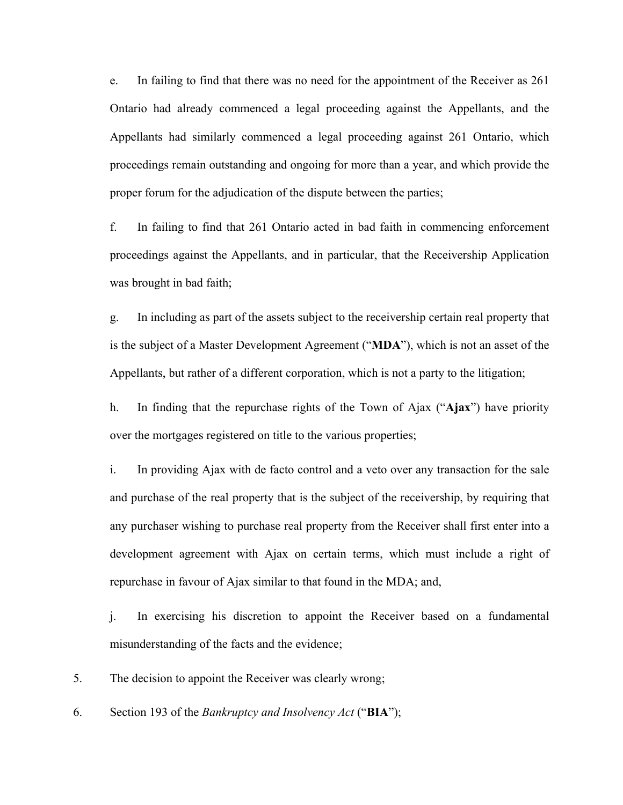e. In failing to find that there was no need for the appointment of the Receiver as 261 Ontario had already commenced a legal proceeding against the Appellants, and the Appellants had similarly commenced a legal proceeding against 261 Ontario, which proceedings remain outstanding and ongoing for more than a year, and which provide the proper forum for the adjudication of the dispute between the parties;

f. In failing to find that 261 Ontario acted in bad faith in commencing enforcement proceedings against the Appellants, and in particular, that the Receivership Application was brought in bad faith;

g. In including as part of the assets subject to the receivership certain real property that is the subject of a Master Development Agreement ("**MDA**"), which is not an asset of the Appellants, but rather of a different corporation, which is not a party to the litigation;

h. In finding that the repurchase rights of the Town of Ajax ("**Ajax**") have priority over the mortgages registered on title to the various properties;

i. In providing Ajax with de facto control and a veto over any transaction for the sale and purchase of the real property that is the subject of the receivership, by requiring that any purchaser wishing to purchase real property from the Receiver shall first enter into a development agreement with Ajax on certain terms, which must include a right of repurchase in favour of Ajax similar to that found in the MDA; and,

j. In exercising his discretion to appoint the Receiver based on a fundamental misunderstanding of the facts and the evidence;

5. The decision to appoint the Receiver was clearly wrong;

6. Section 193 of the *Bankruptcy and Insolvency Act* ("**BIA**");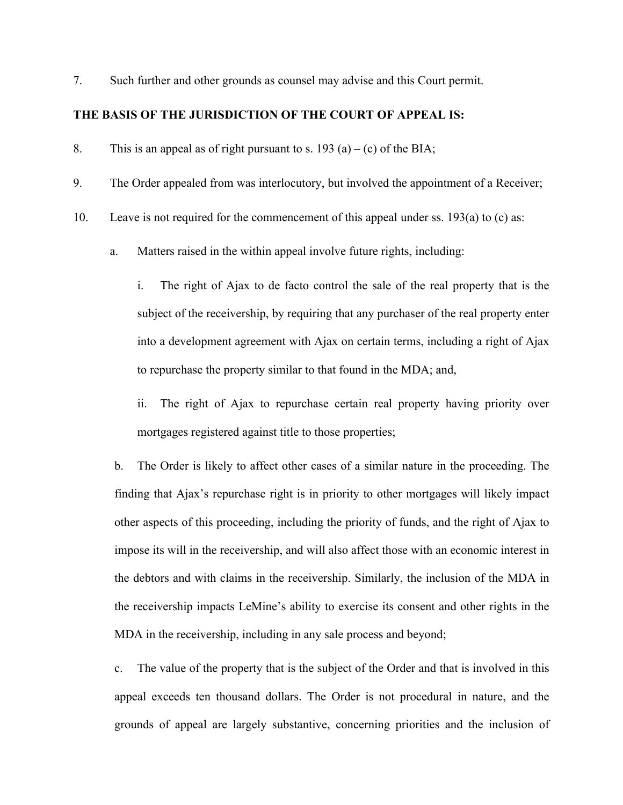7. Such further and other grounds as counsel may advise and this Court permit.

#### **THE BASIS OF THE JURISDICTION OF THE COURT OF APPEAL IS:**

8. This is an appeal as of right pursuant to s. 193 (a) – (c) of the BIA;

- 9. The Order appealed from was interlocutory, but involved the appointment of a Receiver;
- 10. Leave is not required for the commencement of this appeal under ss. 193(a) to (c) as:
	- a. Matters raised in the within appeal involve future rights, including:

i. The right of Ajax to de facto control the sale of the real property that is the subject of the receivership, by requiring that any purchaser of the real property enter into a development agreement with Ajax on certain terms, including a right of Ajax to repurchase the property similar to that found in the MDA; and,

ii. The right of Ajax to repurchase certain real property having priority over mortgages registered against title to those properties;

b. The Order is likely to affect other cases of a similar nature in the proceeding. The finding that Ajax's repurchase right is in priority to other mortgages will likely impact other aspects of this proceeding, including the priority of funds, and the right of Ajax to impose its will in the receivership, and will also affect those with an economic interest in the debtors and with claims in the receivership. Similarly, the inclusion of the MDA in the receivership impacts LeMine's ability to exercise its consent and other rights in the MDA in the receivership, including in any sale process and beyond;

c. The value of the property that is the subject of the Order and that is involved in this appeal exceeds ten thousand dollars. The Order is not procedural in nature, and the grounds of appeal are largely substantive, concerning priorities and the inclusion of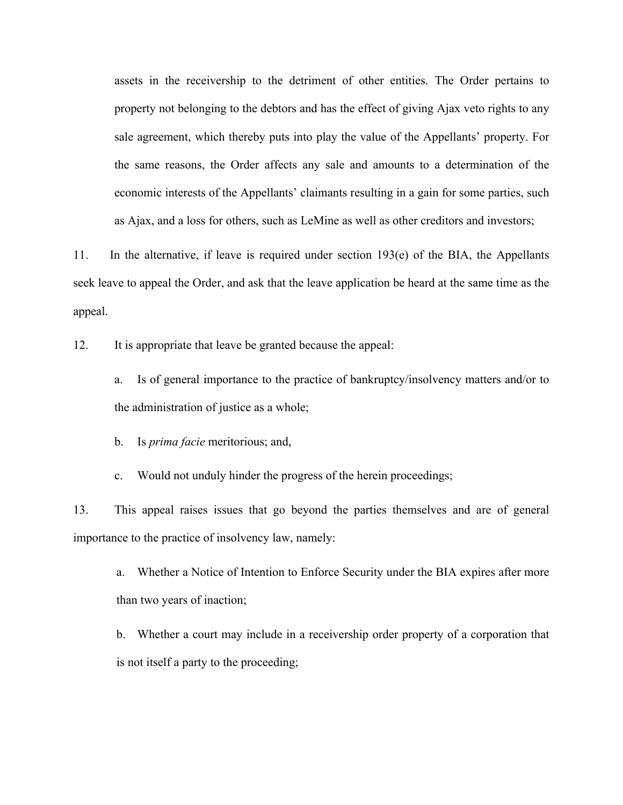assets in the receivership to the detriment of other entities. The Order pertains to property not belonging to the debtors and has the effect of giving Ajax veto rights to any sale agreement, which thereby puts into play the value of the Appellants' property. For the same reasons, the Order affects any sale and amounts to a determination of the economic interests of the Appellants' claimants resulting in a gain for some parties, such as Ajax, and a loss for others, such as LeMine as well as other creditors and investors;

11. In the alternative, if leave is required under section 193(e) of the BIA, the Appellants seek leave to appeal the Order, and ask that the leave application be heard at the same time as the appeal.

12. It is appropriate that leave be granted because the appeal:

a. Is of general importance to the practice of bankruptcy/insolvency matters and/or to the administration of justice as a whole;

b. Is *prima facie* meritorious; and,

c. Would not unduly hinder the progress of the herein proceedings;

13. This appeal raises issues that go beyond the parties themselves and are of general importance to the practice of insolvency law, namely:

a. Whether a Notice of Intention to Enforce Security under the BIA expires after more than two years of inaction;

b. Whether a court may include in a receivership order property of a corporation that is not itself a party to the proceeding;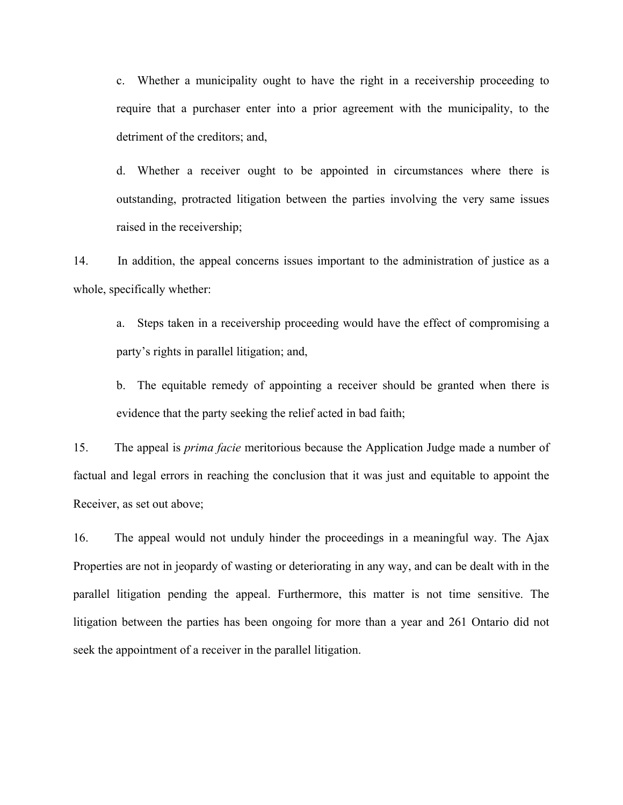c. Whether a municipality ought to have the right in a receivership proceeding to require that a purchaser enter into a prior agreement with the municipality, to the detriment of the creditors; and,

d. Whether a receiver ought to be appointed in circumstances where there is outstanding, protracted litigation between the parties involving the very same issues raised in the receivership;

14. In addition, the appeal concerns issues important to the administration of justice as a whole, specifically whether:

a. Steps taken in a receivership proceeding would have the effect of compromising a party's rights in parallel litigation; and,

b. The equitable remedy of appointing a receiver should be granted when there is evidence that the party seeking the relief acted in bad faith;

15. The appeal is *prima facie* meritorious because the Application Judge made a number of factual and legal errors in reaching the conclusion that it was just and equitable to appoint the Receiver, as set out above;

16. The appeal would not unduly hinder the proceedings in a meaningful way. The Ajax Properties are not in jeopardy of wasting or deteriorating in any way, and can be dealt with in the parallel litigation pending the appeal. Furthermore, this matter is not time sensitive. The litigation between the parties has been ongoing for more than a year and 261 Ontario did not seek the appointment of a receiver in the parallel litigation.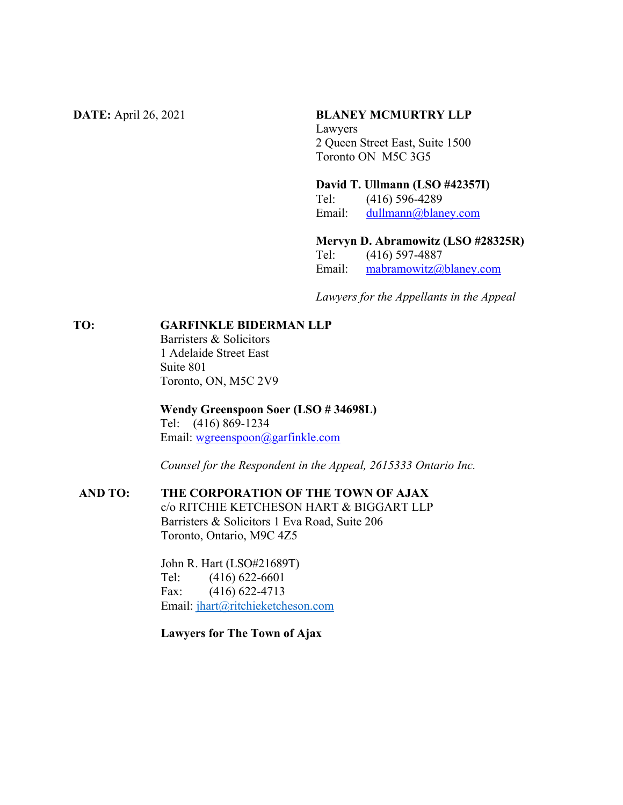#### **DATE:** April 26, 2021 **BLANEY MCMURTRY LLP**

Lawyers 2 Queen Street East, Suite 1500 Toronto ON M5C 3G5

**David T. Ullmann (LSO #42357I)**

Tel: (416) 596-4289 Email: [dullmann@blaney.com](mailto:dullmann@blaney.com)

**Mervyn D. Abramowitz (LSO #28325R)**

Tel: (416) 597-4887 Email: [mabramowitz@blaney.com](mailto:mabramowitz@blaney.com)

*Lawyers for the Appellants in the Appeal*

**TO: GARFINKLE BIDERMAN LLP**

Barristers & Solicitors 1 Adelaide Street East Suite 801 Toronto, ON, M5C 2V9

**Wendy Greenspoon Soer (LSO # 34698L)** Tel: (416) 869-1234 Email: [wgreenspoon@garfinkle.com](mailto:wgreenspoon@garfinkle.com)

*Counsel for the Respondent in the Appeal, 2615333 Ontario Inc.*

## **AND TO: THE CORPORATION OF THE TOWN OF AJAX**

c/o RITCHIE KETCHESON HART & BIGGART LLP Barristers & Solicitors 1 Eva Road, Suite 206 Toronto, Ontario, M9C 4Z5

John R. Hart (LSO#21689T) Tel: (416) 622-6601 Fax: (416) 622-4713 Email: [jhart@ritchieketcheson.com](mailto:jhart@ritchieketcheson.com)

**Lawyers for The Town of Ajax**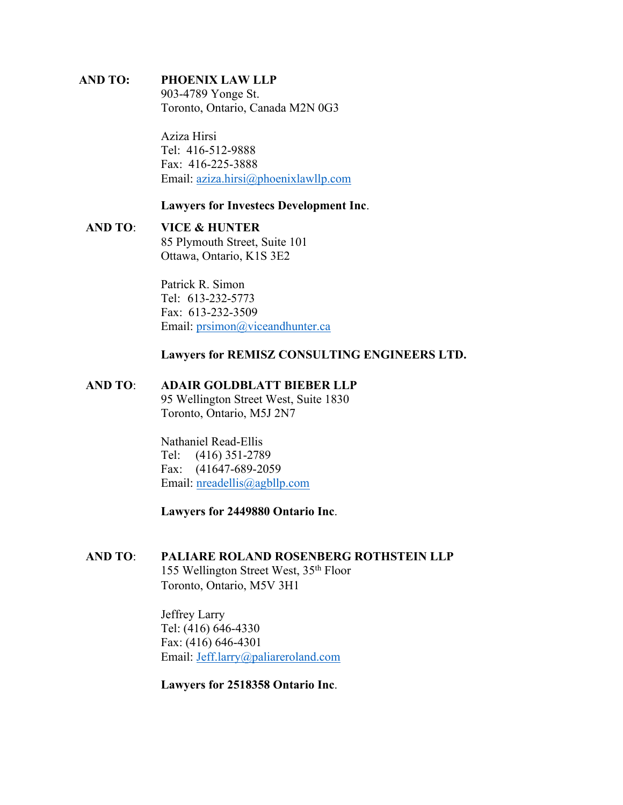## **AND TO: PHOENIX LAW LLP**

903-4789 Yonge St. Toronto, Ontario, Canada M2N 0G3

Aziza Hirsi Tel: 416-512-9888 Fax: 416-225-3888 Email: [aziza.hirsi@phoenixlawllp.com](mailto:aziza.hirsi@phoenixlawllp.com)

#### **Lawyers for Investecs Development Inc**.

# **AND TO**: **VICE & HUNTER**

85 Plymouth Street, Suite 101 Ottawa, Ontario, K1S 3E2

Patrick R. Simon Tel: 613-232-5773 Fax: 613-232-3509 Email: [prsimon@viceandhunter.ca](mailto:prsimon@viceandhunter.ca)

#### **Lawyers for REMISZ CONSULTING ENGINEERS LTD.**

#### **AND TO**: **ADAIR GOLDBLATT BIEBER LLP**

95 Wellington Street West, Suite 1830 Toronto, Ontario, M5J 2N7

Nathaniel Read-Ellis Tel: (416) 351-2789 Fax: (41647-689-2059 Email: [nreadellis@agbllp.com](mailto:nreadellis@agbllp.com)

**Lawyers for 2449880 Ontario Inc**.

#### **AND TO**: **PALIARE ROLAND ROSENBERG ROTHSTEIN LLP**

155 Wellington Street West, 35th Floor Toronto, Ontario, M5V 3H1

Jeffrey Larry Tel: (416) 646-4330 Fax: (416) 646-4301 Email: [Jeff.larry@paliareroland.com](mailto:Jeff.larry@paliareroland.com)

**Lawyers for 2518358 Ontario Inc**.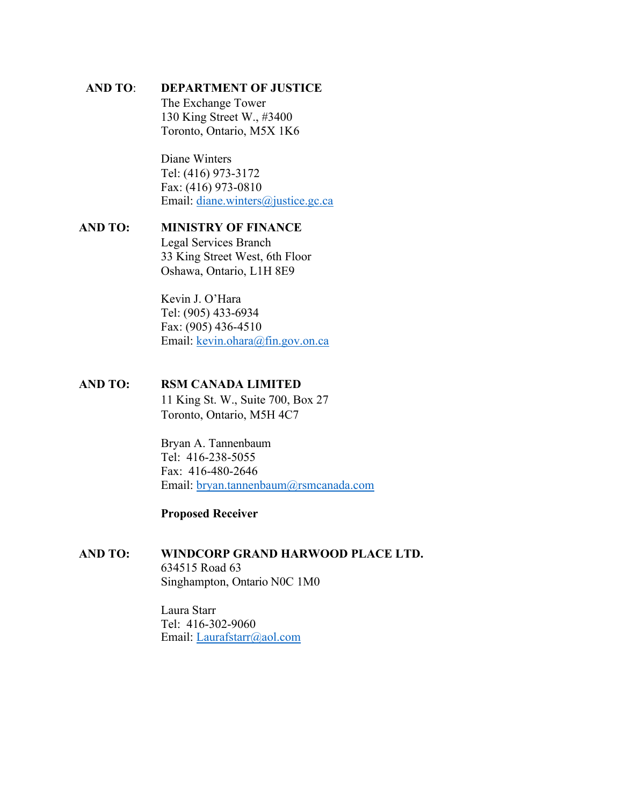#### **AND TO**: **DEPARTMENT OF JUSTICE**

The Exchange Tower 130 King Street W., #3400 Toronto, Ontario, M5X 1K6

Diane Winters Tel: (416) 973-3172 Fax: (416) 973-0810 Email: [diane.winters@justice.gc.ca](mailto:diane.winters@justice.gc.ca)

#### **AND TO: MINISTRY OF FINANCE** Legal Services Branch 33 King Street West, 6th Floor Oshawa, Ontario, L1H 8E9

Kevin J. O'Hara Tel: (905) 433-6934 Fax: (905) 436-4510 Email: [kevin.ohara@fin.gov.on.ca](mailto:kevin.ohara@fin.gov.on.ca)

### **AND TO: RSM CANADA LIMITED**

11 King St. W., Suite 700, Box 27 Toronto, Ontario, M5H 4C7

Bryan A. Tannenbaum Tel: 416-238-5055 Fax: 416-480-2646 Email: [bryan.tannenbaum@rsmcanada.com](mailto:bryan.tannenbaum@rsmcanada.com)

#### **Proposed Receiver**

#### **AND TO: WINDCORP GRAND HARWOOD PLACE LTD.** 634515 Road 63 Singhampton, Ontario N0C 1M0

Laura Starr Tel: 416-302-9060 Email: [Laurafstarr@aol.com](mailto:Laurafstarr@aol.com)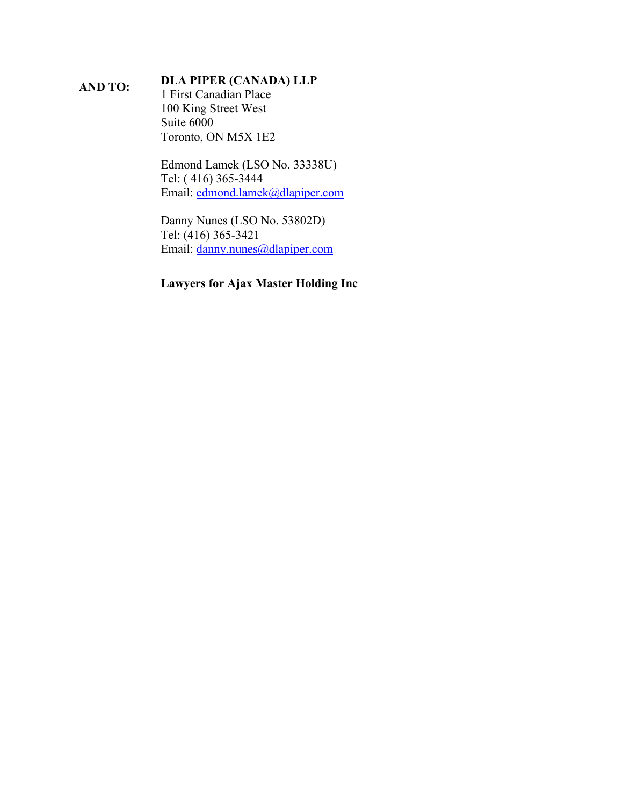# **AND TO: DLA PIPER (CANADA) LLP**

1 First Canadian Place 100 King Street West Suite 6000 Toronto, ON M5X 1E2

Edmond Lamek (LSO No. 33338U) Tel: ( 416) 365-3444 Email: [edmond.lamek@dlapiper.com](mailto:edmond.lamek@dlapiper.com)

Danny Nunes (LSO No. 53802D) Tel: (416) 365-3421 Email: [danny.nunes@dlapiper.com](mailto:danny.nunes@dlapiper.com)

## **Lawyers for Ajax Master Holding Inc**